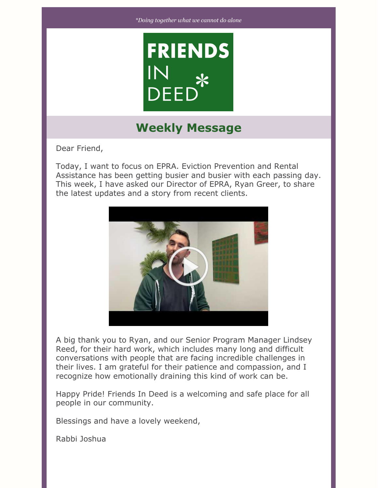

# **Weekly Message**

Dear Friend,

Today, I want to focus on EPRA. Eviction Prevention and Rental Assistance has been getting busier and busier with each passing day. This week, I have asked our Director of EPRA, Ryan Greer, to share the latest updates and a story from recent clients.



A big thank you to Ryan, and our Senior Program Manager Lindsey Reed, for their hard work, which includes many long and difficult conversations with people that are facing incredible challenges in their lives. I am grateful for their patience and compassion, and I recognize how emotionally draining this kind of work can be.

Happy Pride! Friends In Deed is a welcoming and safe place for all people in our community.

Blessings and have a lovely weekend,

Rabbi Joshua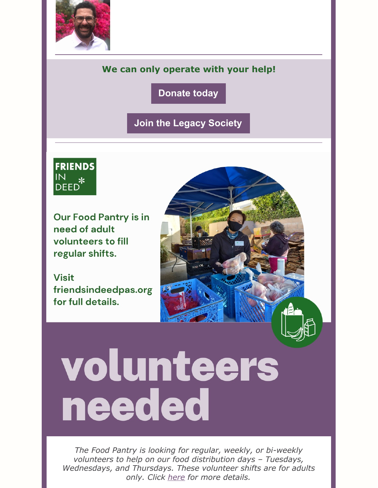

# **We can only operate with your help!**

**[Donate](https://friendsindeedpas.org/fid/donate/) today**

**Join the Legacy [Society](https://friendsindeedpas.org/fid/legacy-society/)**



**Our Food Pantry is in** need of adult volunteers to fill regular shifts.

**Visit** friendsindeedpas.org for full details.

# volunteers needed

*The Food Pantry is looking for regular, weekly, or bi-weekly volunteers to help on our food distribution days – Tuesdays, Wednesdays, and Thursdays. These volunteer shifts are for adults only. Click [here](https://friendsindeedpas.org/volunteer-at-friends-in-deed/) for more details.*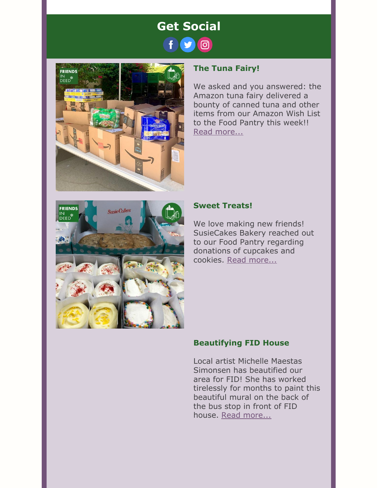



# **The Tuna Fairy!**

We asked and you answered: the Amazon tuna fairy delivered a bounty of canned tuna and other items from our Amazon Wish List to the Food Pantry this week!! Read [more...](https://www.facebook.com/FriendsInDeedPas/posts/pfbid02DPtNhpRvCHqcBy7fzgqjWKmJJteBVQDtwbTF5zgkaXP466MDTCZZt11w6oeNs3C9l)



## **Sweet Treats!**

We love making new friends! SusieCakes Bakery reached out to our Food Pantry regarding donations of cupcakes and cookies. Read [more...](https://www.facebook.com/FriendsInDeedPas/posts/pfbid02A61D7jMu3wxdQmmt5DvkJ8QJSMYcDAqgMJ6MecyPKaRLe3iCEvgworJffUZqWzVUl)

## **Beautifying FID House**

Local artist Michelle Maestas Simonsen has beautified our area for FID! She has worked tirelessly for months to paint this beautiful mural on the back of the bus stop in front of FID house. Read [more...](https://www.facebook.com/FriendsInDeedPas/posts/pfbid02ofcshLiocNQ6JxwVeeZoB5Dc8mnwRFkcuTWeC3vi1RU9dFYGVMMhuad7wCqeDiCSl)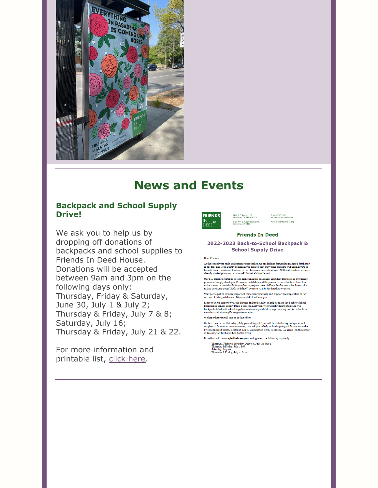

# **News and Events**

### **Backpack and School Supply Drive!**

We ask you to help us by dropping off donations of backpacks and school supplies to Friends In Deed House. Donations will be accepted between 9am and 3pm on the following days only: Thursday, Friday & Saturday, June 30, July 1 & July 2; Thursday & Friday, July 7 & 8; Saturday, July 16; Thursday & Friday, July 21 & 22.

For more information and printable list, click [here](https://friendsindeedpas.org/wp-content/uploads/2022/06/back-to-school-letter-and-list.pdf).



T: 626-797-2402 lnas orn

#### **Friends In Deed**

Mail: P.O. Box 41125<br>Pasadena, CA 91114-8125

Site: 444 E. Washington Blvd.<br>Pasadena, CA 91104

#### 2022-2023 Back-to-School Backpack & **School Supply Drive**

#### Dear Friends.

As the school year ends and summer approaches, we are looking forward to making a fresh start in the fall. The Food Pantry community is pleased that our young students will again return to be with their friends and teache

Our FID families continue to face many financial challenges including frustrations over rising  $_{\rm {Per}}$  . An alternative boundary co-State many manufary and<br>apply shortages. Economic instability and the pervasive uncertainties of our time make it even more difficult for families to prepare their children for the ne

Your participation is more important than ever. Your help and support are imperative to the success of this special event. We cannot do it without you.

Every year, we come to you, our Friends In Deed family, to help us make the Back-to-School Backpack & School Supply Drive a success. Last year, we gratefully distributed over 330 backpacks filled with school supplies to s

We hope that you will join us in this effort!

On two consecutive Saturdays, July 30 and August 6, we will be distributing backpacks and Ou two counsecutor solutions, o say to a dar August of, we will be displayed solutions of the Supplies to families in our community. We ask you to help us by dropping off donations to the Friends In Deed house, located at

Donations will be accepted between 9am and 3pm on the following days only:

Thursday, Friday & Saturday, June 30, July 1 & July 2<br>Thursday & Friday, July 7 & 8<br>Saturday, July 16<br>Thursday & Friday, July 21 & 22